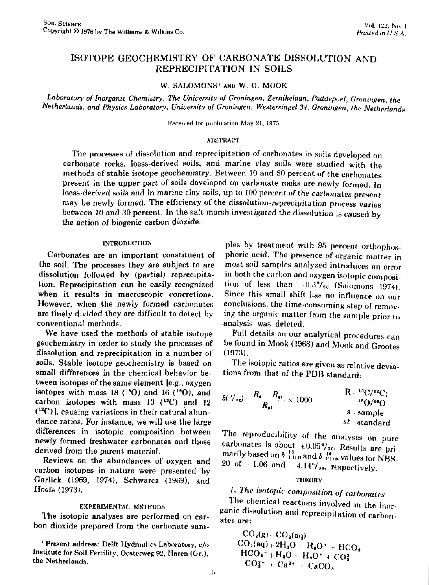# ISOTOPE GEOCHEMISTRY OF CARBONATE DISSOLUTION AND REPRECIPITATION IN SOILS

W. SALOMONS' AND W. G. MOOK

Laboratory of Inorganic Chemistry, The University of Groningen, Zernikelaan, Paddepoel, Groningen, the *Netherlands, and Physics Laboratory, University of Groningen, Westersingel 34, Groningen, the Netherlands* 

Received for publication May 21, 1975

#### ABSTRACT

The processes of dissolution and reprecipitation of carbonates in soils developed on carbonate rocks, loess-derived soils, and marine clay soils were studied with the methods of stable isotope geochemistry. Between 10 and 50 percent of the carbonates present in the upper part of soils developed on carbonate rocks are newly formed. In loess-derived soils and in marine clay soils, up to 100 percent of the carbonates present may be newly formed. The efficiency of the dissolution-reprecipitation process varies between 10 and 30 percent. In the salt marsh investigated the dissolution is caused by the action of biogenic carbon dioxide.

#### INTRODUCTION

Carbonates are an important constituent of the soil. The processes they are subject to are dissolution followed by (partial) reprecipitation. Reprecipitation can be easily recognized when it results in macroscopic concretions. However, when the newly formed carbonates are finely divided they are difficult to detect by conventional methods.

We have used the methods of stable isotope geochemistry in order to study the processes of dissolution and reprecipitation in a number of soils. Stable isotope geochemistry is based on small differences in the chemical behavior between isotopes of the same element [e.g., oxygen isotopes with mass 18 ( $^{18}O$ ) and 16 ( $^{16}O$ ), and carbon isotopes with mass  $13$  ( $^{13}$ C) and  $12$  $(12)$ ], causing variations in their natural ab dance ratios. For instance, we will use the large differences in isotopic composition between newly formed freshwater carbonates and those derived from the parent material.

Reviews on the abundances of oxygen and carbon isotopes in nature were presented by Garlick (1969, 1974), Schwarcz (1969), and Hoefs (1973).

#### EXPERIMENTAL METHODS

The isotopic analyses are performed on carbon dioxide prepared from the carbonate sam-

<sup>1</sup> Present address: Delft Hydraulics Laboratory, Institute for Soil Fertility, Oosterweg 92, Haren (Gr.), the Netherlands.

pies by treatment with 95 percent orthophosphoric acid. The presence of organic matter in most soil samples analyzed introduces an error in both the carbon and oxygen isotopic composition of less than  $-0.3\%$  (Salomons 1974). Since this small shift has no influence on our conclusions, the time-consuming step of removing the organic matter from the sample prior to analysis was deleted.

Full details on our analytical procedures can be found in Mook (1968) and Mook and Grootes (1973).

The isotopic ratios are given as relative deviations from that of the PDB standard:

$$
\delta \binom{0}{0} \text{ so } R_{\text{st}} = \frac{R_{\text{st}} - R_{\text{st}}}{R_{\text{st}}} \times 1000 \qquad \qquad \frac{R = {}^{18}C/{}^{12}C;}{s \cdot \text{sample}}
$$
\n
$$
s \cdot \text{sample}
$$
\n
$$
st = \text{standard}
$$

The reproducibility of the analyses on pure carbonates is about  $\pm 0.05\frac{6}{100}$ . Results are primarily based on  $\delta_{\text{PDH}}^{13}$  and  $\delta_{\text{PDH}}^{18}$  values for NBS-<br>20 of 1.06 and 4.14%. respectively  $4.14\%$ <sub>00</sub>, respectively.

#### **THEORY**

# *1. The isotopic composition of carbonates*

The chemical reactions involved in the inorganic dissolution and reprecipitation of carbonates are:

 $CO<sub>2</sub>(g) \approx CO<sub>2</sub>(aq)$  $CO<sub>2</sub>(aq) + 2H<sub>2</sub>O = H<sub>2</sub>O<sup>+</sup> + HCO<sub>2</sub>$  $HCO<sub>8</sub>^- + H<sub>2</sub>O \cdot H<sub>8</sub>O^+ + CO<sub>3</sub><sup>2</sup>$  $CO_3^{z-} + Ca^{2+} = CaC_3$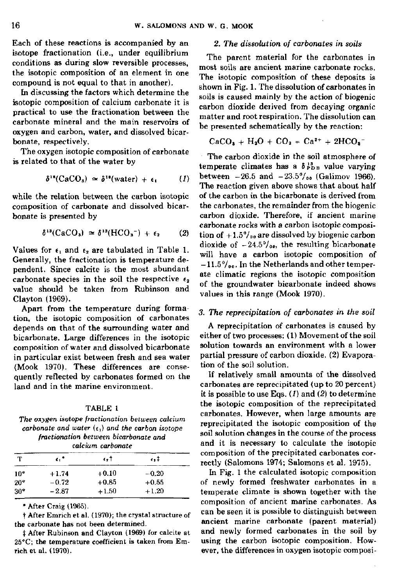Each of these reactions is accompanied by an isotope fractionation (i.e., under equilibrium conditions as during slow reversible processes, the isotopic composition of an element in one compound is not equal to that in another).

In discussing the factors which determine the isotopic composition of calcium carbonate it is practical to use the fractionation between the carbonate mineral and the main reservoirs of oxygen and carbon, water, and dissolved bicarbonate, respectively.

The oxygen isotopic composition of carbonate is related to that of the water by

$$
\delta^{18}(\text{CaCO}_3) \simeq \delta^{18}(\text{water}) + \epsilon_1 \qquad (1)
$$

while the relation between the carbon isotopic composition of carbonate and dissolved bicarbonate is presented by

$$
\delta^{13}(\text{CaCO}_3) \simeq \delta^{13}(\text{HCO}_3^-) + \epsilon_2 \qquad (2)
$$

Values for  $\epsilon_1$  and  $\epsilon_2$  are tabulated in Table 1. Generally, the fractionation is temperature dependent. Since calcite is the most abundant carbonate species in the soil the respective  $\epsilon_2$ value should be taken from Rubinson and Clayton (1969).

Apart from the temperature during formation, the isotopic composition of carbonates depends on that of the surrounding water and bicarbonate. Large differences in the isotopic composition of water and dissolved bicarbonate in particular exist between fresh and sea water (Mook 1970). These differences are consequently reflected by carbonates formed on the land and in the marine environment.

#### TABLE 1

*The oxygen isotope fractionation between calcium carbonate and water*  $(\epsilon_1)$  and the carbon isotope *fractionation between bicarbonate and calcium carbonate* 

| т            | c."     | $\epsilon$ , T | $\epsilon$ , T |  |
|--------------|---------|----------------|----------------|--|
| $10^{\circ}$ | $+1.74$ | $+0.10$        | $-0.20$        |  |
| $20^{\circ}$ | $-0.72$ | $+0.85$        | $+0.55$        |  |
| 30°          | $-2.87$ | $+1.50$        | $+1.20$        |  |

\* After Craig (1965).

t After Emrich et al. (1970); the crystal structure of the carbonate has not been determined.

:f After Rubinson and Clayton (1969) for calcite at 25°C; the temperature coefficient is taken from Emrich et al. (1970).

## 2. *The dissolution of carbonates in soils*

The parent material for the carbonates in most soils are ancient marine carbonate rocks. The isotopic composition of these deposits is shown in Fig. 1. The dissolution of carbonates in soils is caused mainly by the action of biogenic carbon dioxide derived from decaying organic matter and root respiration. The dissolution can be presented schematically by the reaction:

$$
CaCO3 + H2O + CO2 = Ca2+ + 2HCO3
$$

The carbon dioxide in the soil atmosphere of temperate climates has a  $\delta_{PDB}^{13}$  value varying between  $-26.5$  and  $-23.5^{\circ}/_{00}$  (Galimov 1966). The reaction given above shows that about half of the carbon in the bicarbonate is derived from the carbonates, the remainder from the biogenic carbon dioxide. Therefore, if ancient marine carbonate rocks with a carbon isotopic composition of  $+1.5\%$ <sub>00</sub> are dissolved by biogenic carbon dioxide of  $-24.5\%$ <sub>00</sub>, the resulting bicarbonate will have a carbon isotopic composition of  $-11.5\%$ <sub>00</sub>. In the Netherlands and other temperate climatic regions the isotopic composition of the groundwater bicarbonate indeed shows values in this range (Mook 1970).

## *3. The reprecipitation of carbonates in the soil*

A reprecipitation of carbonates is caused by either of two processes: (1) Movement of the soil solution towards an environment with a lower partial pressure of carbon dioxide. (2) Evaporation of the soil solution.

If relatively small amounts of the dissolved carbonates are reprecipitated (up to 20 percent) it is possible to use Eqs. *(1)* and (2) to determine the isotopic composition of the reprecipitated carbonates. However, when large amounts are reprecipitated the isotopic composition of the soil solution changes in the course of the process and it is necessary to calculate the isotopic composition of the precipitated carbonates correctly (Salomons 1974; Salomons et al. 1975).

In Fig. 1 the calculated isotopic composition of newly formed freshwater carbonates in a temperate climate is shown together with the composition of ancient marine carbonates. As can be seen it is possible to distinguish between ancient marine carbonate (parent material) and newly formed carbonates in the soil by using the carbon isotopic composition. However, the differences in oxygen isotopic composi-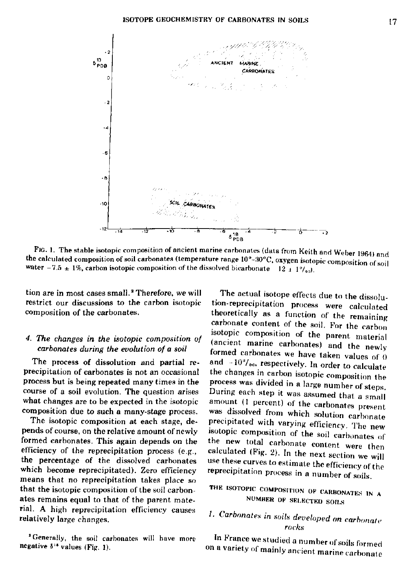

FIG. 1. The stable isotopic composition of ancient marine carbonates (data from Keith and Weber 1964) and the calculated composition of soil carbonates (temperature range 10°-30°C, oxygen isotopic composition of soil water -7.5  $\pm$  1%, carbon isotopic composition of the dissolved bicarbonate 12  $\pm$  1%.

tion are in most cases small.<sup>2</sup> Therefore, we will restrict our discussions to the carbon isotopic composition of the carbonates.

## 4. The changes in the isotopic composition of carbonates during the evolution of a soil

The process of dissolution and partial reprecipitation of carbonates is not an occasional process but is being repeated many times in the course of a soil evolution. The question arises what changes are to be expected in the isotopic composition due to such a many-stage process.

The isotopic composition at each stage, depends of course, on the relative amount of newly formed carbonates. This again depends on the efficiency of the reprecipitation process (e.g., the percentage of the dissolved carbonates which become reprecipitated). Zero efficiency means that no reprecipitation takes place so that the isotopic composition of the soil carbonates remains equal to that of the parent material. A high reprecipitation efficiency causes relatively large changes.

<sup>3</sup> Generally, the soil carbonates will have more negative  $\delta^{16}$  values (Fig. 1).

The actual isotope effects due to the dissolution-reprecipitation process were calculated theoretically as a function of the remaining carbonate content of the soil. For the carbon isotopic composition of the parent material (ancient marine carbonates) and the newly formed carbonates we have taken values of 0 and -10%. respectively. In order to calculate the changes in carbon isotopic composition the process was divided in a large number of steps. During each step it was assumed that a small amount (1 percent) of the carbonates present was dissolved from which solution carbonate precipitated with varying efficiency. The new isotopic composition of the soil carbonates of the new total carbonate content were then calculated (Fig. 2). In the next section we will use these curves to estimate the efficiency of the reprecipitation process in a number of soils.

# THE ISOTOPIC COMPOSITION OF CARBONATES IN A NUMBER OF SELECTED SOILS

# 1. Carbonates in soils developed on carbonate rocks

In France we studied a number of soils formed on a variety of mainly ancient marine carbonate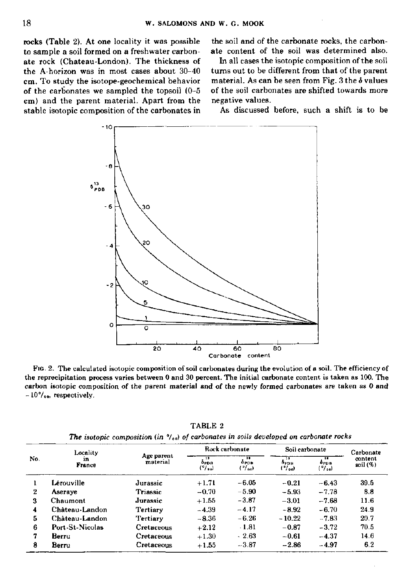rocks (Table 2). At one locality it was possible to sample a soil formed on a freshwater carbonate rock (Chateau-London). The thickness of the A-horizon was in most cases about 30-40 cm. To study the isotope-geochemical behavior of the carbonates we sampled the topsoil  $(0-5)$ cm) and the parent material. Apart from the stable isotopic composition of the carbonates in

the soil and of the carbonate rocks, the carbonate content of the soil was determined also.

In all cases the isotopic composition of the soil turns out to be different from that of the parent material. As can be seen from Fig. 3 the  $\delta$  values of the soil carbonates are shifted towards more negative values.

As discussed before, such a shift is to be



FIG. 2. The calculated isotopic composition of soil carbonates during the evolution of a soil. The efficiency of the reprecipitation process varies between 0 and 30 percent. The initial carbonate content is taken as 100. The carbon isotopic composition of the parent material and of the newly formed carbonates are taken as 0 and  $-10\%$ <sub>00</sub>, respectively.

| No.            | Locality             |                        | Rock carbonate          |                                     | Soil carbonate                                           |                       | Carbonate              |
|----------------|----------------------|------------------------|-------------------------|-------------------------------------|----------------------------------------------------------|-----------------------|------------------------|
|                | in.<br><b>France</b> | Age parent<br>material | 13<br>OPDA<br>$(°/$ ac) | n<br>0 PDB<br>$(°/$ <sub>00</sub> ) | $\overline{\mathbf{1}}$<br>Фрон<br>$(°/$ <sub>00</sub> ) | Ŧ<br>0PDB<br>$('/$ a) | content<br>soil $(\%)$ |
|                | Lérouville           | Jurassic               | $+1.71$                 | $-6.05$                             | $-0.21$                                                  | $-6.43$               | 39.5                   |
| $\overline{2}$ | Aseraye              | <b>Triassic</b>        | $-0.70$                 | $-5.90$                             | $-5.93$                                                  | $-7.78$               | 8.8                    |
| 3              | <b>Chaumont</b>      | Jurassic               | $+1.55$                 | $-2.87$                             | $-3.01$                                                  | $-7.68$               | 11.6                   |
| 4              | Château-Landon       | Tertiary               | $-4.39$                 | $-4.17$                             | $-8.92$                                                  | $-6.70$               | 24.9                   |
| 5.             | Château-Landon       | Tertiary               | $-8.36$                 | $-6.26$                             | $-10.22$                                                 | $-7.83$               | 20.7                   |
| 6              | Port St-Nicolas      | Cretaceous             | $+2.12$                 | $-1.81$                             | $-0.87$                                                  | $-3.72$               | 70.5                   |
| 7              | Berru                | Cretaceous             | $+1.30$                 | $-2.63$                             | $-0.61$                                                  | $-4.37$               | 14.6                   |
| 8              | Berru                | Cretaceous             | $+1.55$                 | $-3.87$                             | $-2.86$                                                  | $-4.97$               | 6.2                    |

TABLE 2 The isotopic composition (in  $\frac{9}{400}$ ) of carbonates in soils developed on carbonate rocks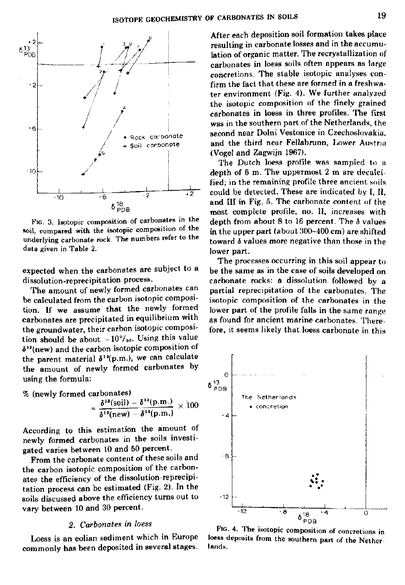

FIG. 3. Isotopic composition of carbonates in the soil, compared with the isotopic composition of the underlying carbonate rock. The numbers refer to the data given in Table 2.

expected when the carbonates are subject to a dissolution-reprecipitation process.

The amount of newly formed carbonates can be calculated from the carbon isotopic composition. If we assume that the newly formed carbonates are precipitated in equilibrium with the groundwater, their carbon isotopic composition should be about  $-10^\circ/\circ$ . Using this value  $\delta^{13}$ (new) and the carbon isotopic composition the parent material  $\delta^{13}(p.m.),$  we can calculate the amount of newly formed carbonates by using the formula:

% (newly formed carbonates)

$$
= \frac{\delta^{18}(\text{soil}) - \delta^{18}(\text{p.m.})}{\delta^{18}(\text{new}) - \delta^{18}(\text{p.m.})} \times 100
$$

According to this estimation the amount of newly formed carbonates in the soils investigated varies between 10 and 50 percent.

From the carbonate content of these soils and the carbon isotopic composition of the carbonates the efficiency of the dissolution-reprecipitation process can be estimated (Fig. 2). In the soils discussed above the efficiency turns out to vary between 10 and 30 percent.

### *2. Carbonates in loess*

Loess is an eolian sediment which in Europe commonly has been deposited in several stages.

After each deposition soil formation takes place resulting in carbonate losses and in the accumulation of organic matter. The recrystallization of carbonates in loess soils often appears as large concretions. The stable isotopic analyses confirm the fact that these are formed in a freshwater environment (Fig. 4). We further analyzed the isotopic composition of the finely grained carbonates in loess in three profiles. The first was in the southern part of the Netherlands, the second near Dolni Vestonice in Czechoslovakia, and the third near Fellabrunn, Lower Austria (Vogel and Zagwijn 1967).

The Dutch loess profile was sampled to a depth of 6 m. The uppermost 2 m are decalcified; in the remaining profile three ancient soils could be detected. These are indicated by 1, II, and III in Fig. 5. The carbonate content of the most complete profile, no. II, increases with depth from about 8 to 16 percent. The *&* values in the upper part (about  $300-400$  cm) are shifted toward *6* values more negative than those in the lower part.

The processes occurring in this soil appear to be the same as in the case of soils developed on carbonate rocks: a dissolution followed by a partial reprecipitation of the carbonates. The isotopic composition of the carbonates in the lower part of the profile falls in the same range as found for ancient marine carbonates. Therefore, it seems likely that loess carbonate in this



FIG. 4. The isotopic composition of concretions in loess deposits from the southern part of the Netherlands.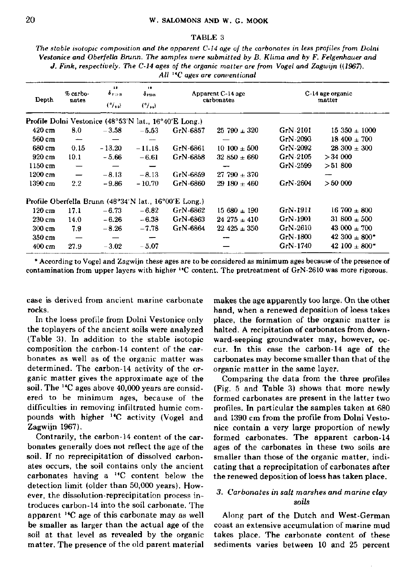### TABLE 3

*The stable isotopic composition and the apparent C-14 age of the carbonates in less profiles from Dolni Vestonice and Oberfella Brunn. The samples were submitted by B. Klima and by F. Felgenhauer and J. Fink, respectively. The C-14 ages of the organic matter are from Vogel and Zagwijn ((1967). All "C ages are conventional* 

| Depth                                                 | % carbo-<br>nates | $\mathbf{1}$<br>$\delta_{\rm FDR}$<br>$(°/$ <sub>00</sub> ) | $\bullet \bullet$<br>$\delta_{\rm{PDR}}$<br>(°/ | Apparent C-14 age<br>carbonates                       |                  | C-14 age organic<br>matter |                    |  |  |
|-------------------------------------------------------|-------------------|-------------------------------------------------------------|-------------------------------------------------|-------------------------------------------------------|------------------|----------------------------|--------------------|--|--|
| Profile Dolni Vestonice (48°53'N lat., 16°40'E Long.) |                   |                                                             |                                                 |                                                       |                  |                            |                    |  |  |
| 420 cm                                                | 8.0               | $-3.58$                                                     | $-5.53$                                         | GrN-6857                                              | $25\,790\pm320$  | $GrN-2101$                 | $15\,350\pm1000$   |  |  |
| 560 cm                                                |                   |                                                             |                                                 |                                                       |                  | GrN-2093                   | $18\,400\pm700$    |  |  |
| 680 cm                                                | 0.15              | $-13.20$                                                    | $-11.18$                                        | GrN-6861                                              | $10~100 \pm 500$ | GrN-2092                   | $28,300 + 300$     |  |  |
| 920 cm                                                | 10.1              | $-5.66$                                                     | -6.61                                           | GrN-6858                                              | $32850 \pm 660$  | $C1N-2105$                 | >34000             |  |  |
| $1150$ cm                                             |                   |                                                             |                                                 |                                                       |                  | GrN-2599                   | >51800             |  |  |
| 1200 cm                                               | -                 | $-8.13$                                                     | $-8.13$                                         | GrN-6859                                              | $27.790 \pm 370$ |                            |                    |  |  |
| 1390 cm                                               | 2.2               | $-9.86$                                                     | $-10.70$                                        | GrN-6860                                              | $29180 + 460$    | GrN 2604                   | >50,000            |  |  |
|                                                       |                   |                                                             |                                                 | Profile Oberfella Brunn (48°34'N lat., 16°00'E Long.) |                  |                            |                    |  |  |
| $120 \text{ cm}$                                      | 17.1              | $-6.73$                                                     | $-6.82$                                         | GrN-6862                                              | $15680 \pm 190$  | GrN-1911                   | $16700 + 800$      |  |  |
| 230 cm                                                | 14.0              | $-6.26$                                                     | $-6.38$                                         | $GrN-6863$                                            | $24\,275 + 410$  | GrN-1901                   | 31 800 $\pm$ 500   |  |  |
| $300 \text{ cm}$                                      | 7.9               | $-8.26$                                                     | $-7.78$                                         | GrN-6864                                              | $22\;425\pm350$  | GrN-2610                   | $43000 \pm 700$    |  |  |
| 350 cm                                                |                   |                                                             |                                                 |                                                       |                  | GrN-1800                   | $42.300 \pm 800^*$ |  |  |
| $400 \text{ cm}$                                      | 27.9              | $-3.02$                                                     | $-5.07$                                         |                                                       |                  | GrN-1740                   | $42.100 \pm 800*$  |  |  |

\* According to Vogel and Zagwijn these ages are to be considered as minimum ages because of the presence of contamination from upper layers with higher "C content. The pretreatment of GrN-2610 was more rigorous.

case is derived from ancient marine carbonate rocks.

In the loess profile from Dolni Vestonice only the toplayers of the ancient soils were analyzed (Table 3). In addition to the stable isotopic composition the carbon-14 content of the carbonates as well as of the organic matter was determined. The carbon-14 activity of the organic matter gives the approximate age of the soil. The  $^{14}$ C ages above  $40,000$  years are consider ered to be minimum ages, because of the difficulties in removing infiltrated humic compounds with higher <sup>14</sup>C activity (Vogel and Zagwijn 1967).

Contrarily, the carbon-14 content of the carbonates generally does not reflect the age of the soil. If no reprecipitation of dissolved carbonates occurs, the soil contains only the ancient carbonates having a  $^{14}C$  content below the detection limit (older than 50,000 years). However, the dissolution-reprecipitation process introduces carbon-14 into the soil carbonate. The apparent "C age of this carbonate may as well be smaller as larger than the actual age of the soil at that level as revealed by the organic matter. The presence of the old parent material makes the age apparently too large. On the other hand, when a renewed deposition of loess takes place, the formation of the organic matter is halted. A recipitation of carbonates from downward-seeping groundwater may, however, occur. In this case the carbon-14 age of the carbonates may become smaller than that of the organic matter in the same layer.

Comparing the data from the three profiles (Fig. 5 and Table 3) shows that more newly formed carbonates are present in the latter two profiles. In particular the samples taken at 680 and 1390 cm from the profile from Dolni Vestonice contain a very large proportion of newly formed carbonates. The apparent carbon-14 ages of the carbonates in these two soils are smaller than those of the organic matter, indicating that a reprecipitation of carbonates after the renewed deposition of loess has taken place.

## *3. Carbonates in salt marshes and marine clay soils*

Along part of the Dutch and West-German coast an extensive accumulation of marine mud takes place. The carbonate content of these sediments varies between 10 and 25 percent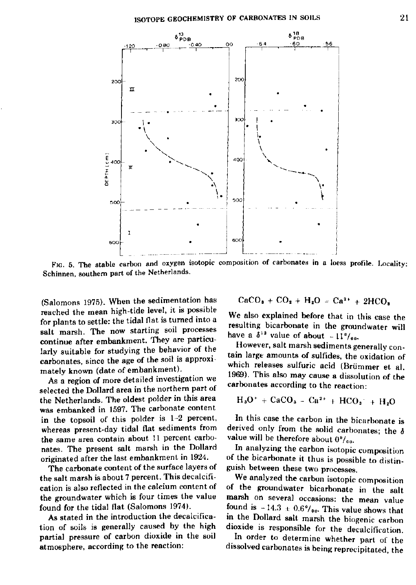

FIG. 5. The stable carbon and oxygen isotopic composition of carbonates in a loess profile. Locality: Schinnen, southern part of the Netherlands.

(Salomons 1975). When the sedimentation has reached the mean high-tide level, it is possible for plants to settle: the tidal flat is turned into a salt marsh. The now starting soil processes continue after embankment. They are particularly suitable for studying the behavior of the carbonates, since the age of the soil is approximately known (date of embankment).

As a region of more detailed investigation we selected the Dollard area in the northern part of the Netherlands. The oldest polder in this area was embanked in 1597. The carbonate content in the topsoil of this polder is 1-2 percent, whereas present-day tidal flat sediments from the same area contain about 11 percent carbonates. The present salt marsh in the Dollard originated after the last embankment in 1924.

The carbonate content of the surface layers of the salt marsh is about 7 percent. This decalcification is also reflected in the calcium content of the groundwater which is four times the value found for the tidal flat (Salomons 1974).

As stated in the introduction the decalcification of soils is generally caused by the high partial pressure of carbon dioxide in the soil atmosphere, according to the reaction:

$$
CaCO3 + CO2 + H2O = Ca2+ + 2HCO
$$

We also explained before that in this case the resulting bicarbonate in the groundwater will have a  $\delta^{13}$  value of about  $-11$ 

However, salt marsh sediments generally contain large amounts of sulfides, the oxidation of which releases sulfuric acid (Briimmer et al. 1969). This also may cause a dissolution of the carbonates according to the reaction:

$$
H_3O^+ + CaCO_3 - Ca^{2+} + HCO_3^- + H_2O
$$

In this case the carbon in the bicarbonate is derived only from the solid carbonates; the *S*  value will be therefore about  $0^{\circ}/_{\circ\circ}$ .

In analyzing the carbon isotopic composition of the bicarbonate it thus is possible to distinguish between these two processes.

We analyzed the carbon isotopic composition of the groundwater bicarbonate in the salt marsh on several occasions: the mean value found is  $-14.3 \pm 0.6$ <sup>0</sup>/<sub>00</sub>. This value shows that in the Dollard salt marsh the biogenic carbon dioxide is responsible for the decalcification.

In order to determine whether part of the dissolved carbonates is being reprecipitated, the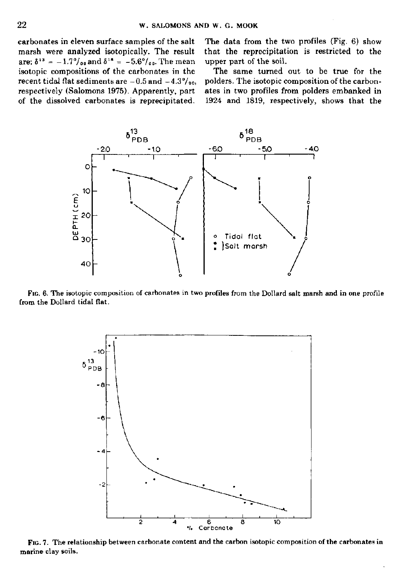carbonates in eleven surface samples of the salt marsh were analyzed isotopically. The result are:  $\delta^{13} = -1.7^{\circ}/_{\sigma^0}$  and  $\delta^{18} = -5.6^{\circ}/_{\sigma^0}$ . The m isotopic compositions of the carbonates in the recent tidal flat sediments are  $-0.5$  and  $-4.3\%$ <sub>00</sub>, respectively (Salomons 1975). Apparently, part of the dissolved carbonates is reprecipitated.

The data from the two profiles (Fig. 6) show that the reprecipitation is restricted to the upper part of the soil.

The same turned out to be true for the polders. The isotopic composition of the carbonates in two profiles from polders embanked in 1924 and 1819, respectively, shows that the



FIG. 6. The isotopic composition of carbonates in two profiles from the Dollard salt marsh and in one profile from the Dollard tidal flat.



FIG. 7. The relationship between carbonate content and the carbon isotopic composition of the carbonates in marine clay soils.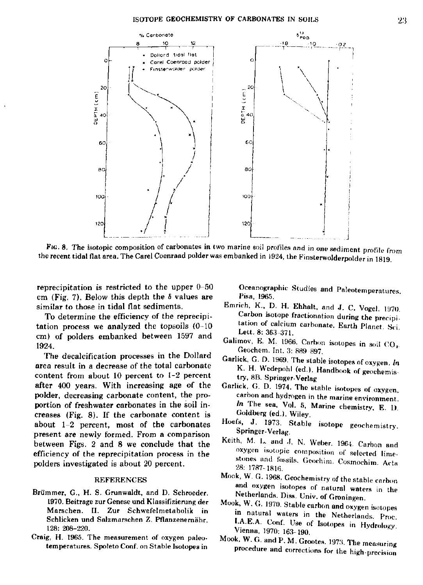

FIG. 8. The isotopic composition of carbonates in two marine soil profiles and in one sediment pr the recent tidal flat area. The Carel Coenraad polder was embanked in 1924, the Finsterwolderpolder in 1819

reprecipitation is restricted to the upper  $0-50$ cm (Fig. 7). Below this depth the *S* values are similar to those in tidal flat sediments.

To determine the efficiency of the reprecipitation process we analyzed the topsoils (0-10 cm) of polders embanked between 1597 and 1924.

The decalcification processes in the Dollard area result in a decrease of the total carbonate content from about 10 percent to 1-2 percent after 400 years. With increasing age of the polder, decreasing carbonate content, the proportion of freshwater carbonates in the soil increases (Fig. 8). If the carbonate content is about  $1-2$  percent, most of the carbonates present are newly formed. From a comparison between Figs. 2 and 8 we conclude that the efficiency of the reprecipitation process in the polders investigated is about 20 percent.

### REFERENCES

- Brümmer, G., H. S. Grunwaldt, and D. Schroeder. 1970. Beitrage zur Genese und Klassifizierung der Marschen. II. Zur Schwefelmetabolik in Schlicken und Salzmarschen Z. Pflanzenernähr. 128: 208-220.
- Craig, H. 1965. The measurement of oxygen paleotemperatures. Spoleto Conf. on Stable Isotopes in

Océanographie Studies and Paleotemperatures. Pisa, 1965.

- Emrich, K., D. H. Ehhalt, and J. C. Vogel. 1970. Carbon isotope fractionation during the precipitation of calcium carbonate. Earth Planet. Sei. Lett. 8: 363-371.
- Galimov, E. M. 1966. Carbon isotopes in soil CO,. Geochem. Int. 3: 889 897.
- Garlick, G. D. 1969. The stable isotopes of oxygen. *In*  K. H. Wedepohl (ed.). Handbook of geochemistry, 8B. Springer-Verlag
- Garlick, G. D. 1974. The stable isotopes of oxygen, carbon and hydrogen in the marine environment. *In* The sea, Vol. 5, Marine chemistry, E. D. Goldberg (ed.). Wiley.
- Hoefs, J. 1973. Stable isotope geochemistry. Springer-Verlag.
- Keith, M. L. and J. N. Weber. 1964. Carbon and oxygen isotopic composition of selected limestones and fossils. Geochim. Cosmochim. Acta 28: 1787-1816.
- Mook, W. G. 1968. Geochemistry of the stable carbon and oxygen isotopes of natural waters in the Netherlands. Diss. Univ. of Groningen.
- Mook, W. G. 1970. Stable carbon and oxygen isotopes in natural waters in the Netherlands. Proe. I.A.E.A. Conf. Use of Isotopes in Hydrology. Vienna, 1970: 163-190.
- Mook, W. G. and P. M. Grootes. 1973. The measuring procedure and corrections for the high-precision